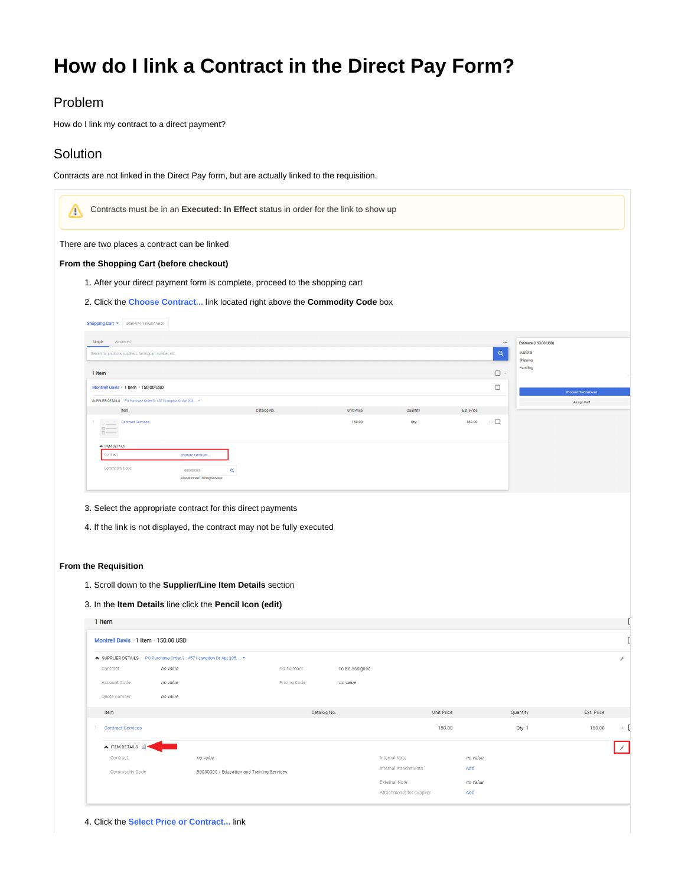# **How do I link a Contract in the Direct Pay Form?**

### Problem

How do I link my contract to a direct payment?

## **Solution**

Contracts are not linked in the Direct Pay form, but are actually linked to the requisition.

| Δ                                                                                       |                  |                                            | Contracts must be in an Executed: In Effect status in order for the link to show up |                   |                                           |                 |                 |                       |                            |
|-----------------------------------------------------------------------------------------|------------------|--------------------------------------------|-------------------------------------------------------------------------------------|-------------------|-------------------------------------------|-----------------|-----------------|-----------------------|----------------------------|
| There are two places a contract can be linked                                           |                  |                                            |                                                                                     |                   |                                           |                 |                 |                       |                            |
| From the Shopping Cart (before checkout)                                                |                  |                                            |                                                                                     |                   |                                           |                 |                 |                       |                            |
|                                                                                         |                  |                                            | 1. After your direct payment form is complete, proceed to the shopping cart         |                   |                                           |                 |                 |                       |                            |
|                                                                                         |                  |                                            | 2. Click the Choose Contract link located right above the Commodity Code box        |                   |                                           |                 |                 |                       |                            |
| Shopping Cart = 2020-07-14 BAJKAAB 01                                                   |                  |                                            |                                                                                     |                   |                                           |                 |                 |                       |                            |
| Simple<br>Advanced                                                                      |                  |                                            |                                                                                     |                   |                                           |                 | $\cdots$        | Estimate (150.00 USD) |                            |
| Search for products, suppliers, forms, part number, etc.                                |                  |                                            |                                                                                     |                   |                                           |                 | $\mathsf Q$     | Subtotal              |                            |
|                                                                                         |                  |                                            |                                                                                     |                   |                                           |                 | $\Box$ -        | Shipping<br>Handling  |                            |
| 1 Item<br>Montrell Davis · 1 Item · 150.00 USD                                          |                  |                                            |                                                                                     |                   |                                           |                 |                 |                       |                            |
| SUPPLIER DETAILS PO Purchase Order 3 : 4571 Langdon Dr Apt 205,  *                      |                  |                                            |                                                                                     |                   |                                           |                 | $\Box$          |                       | <b>Proceed To Checkout</b> |
| Item                                                                                    |                  |                                            | Catalog No.                                                                         | <b>Unit Price</b> | Quantity                                  | Ext. Price      |                 |                       | Assign Cart                |
| <b>Contract Services</b><br>$\mathbf{1}$                                                |                  |                                            |                                                                                     | 150.00            | Qty: 1                                    | 150.00          | $\cdots \ \Box$ |                       |                            |
| $\frac{D}{D}$                                                                           |                  |                                            |                                                                                     |                   |                                           |                 |                 |                       |                            |
| TEM DETAILS<br>Contract                                                                 | choose contract. |                                            |                                                                                     |                   |                                           |                 |                 |                       |                            |
| Commodity Code                                                                          | 86000000         |                                            |                                                                                     |                   |                                           |                 |                 |                       |                            |
|                                                                                         |                  | Q                                          |                                                                                     |                   |                                           |                 |                 |                       |                            |
| 3. Select the appropriate contract for this direct payments                             |                  | Education and Training Services            | 4. If the link is not displayed, the contract may not be fully executed             |                   |                                           |                 |                 |                       |                            |
| <b>From the Requisition</b><br>1. Scroll down to the Supplier/Line Item Details section |                  |                                            |                                                                                     |                   |                                           |                 |                 |                       |                            |
| 3. In the Item Details line click the Pencil Icon (edit)                                |                  |                                            |                                                                                     |                   |                                           |                 |                 |                       |                            |
| 1 Item                                                                                  |                  |                                            |                                                                                     |                   |                                           |                 |                 |                       |                            |
| Montrell Davis · 1 Item · 150.00 USD                                                    |                  |                                            |                                                                                     |                   |                                           |                 |                 |                       |                            |
| ◆ SUPPLIER DETAILS PO Purchase Order 3 : 4571 Langdon Dr Apt 205,  ▼                    |                  |                                            |                                                                                     |                   |                                           |                 |                 |                       | ∕                          |
| Contract                                                                                | no value         |                                            | PO Number                                                                           | To Be Assigned    |                                           |                 |                 |                       |                            |
| Account Code                                                                            | no value         |                                            | Pricing Code                                                                        | no value          |                                           |                 |                 |                       |                            |
| Quote number                                                                            | no value         |                                            |                                                                                     |                   |                                           |                 |                 |                       |                            |
| Item                                                                                    |                  |                                            |                                                                                     | Catalog No.       |                                           | Unit Price      |                 | Quantity              | Ext. Price                 |
| 1.<br><b>Contract Services</b>                                                          |                  |                                            |                                                                                     |                   |                                           | 150.00          |                 | Qty: 1                | 150.00<br>$\cdots$ [       |
| $\wedge$ ITEM DETAILS $\Box$                                                            |                  |                                            |                                                                                     |                   |                                           |                 |                 |                       |                            |
| Contract:                                                                               |                  | no value                                   |                                                                                     |                   | Internal Note                             | no value        |                 |                       | ∕                          |
| Commodity Code                                                                          |                  | 86000000 / Education and Training Services |                                                                                     |                   | Internal Attachments                      | Add             |                 |                       |                            |
|                                                                                         |                  |                                            |                                                                                     |                   | External Note<br>Attachments for supplier | no value<br>Add |                 |                       |                            |

<sup>4.</sup> Click the **Select Price or Contract...** link